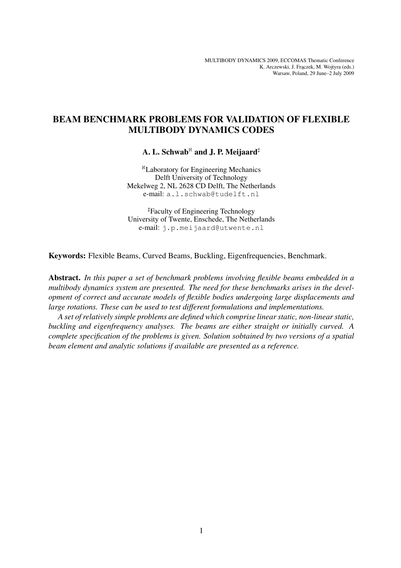# BEAM BENCHMARK PROBLEMS FOR VALIDATION OF FLEXIBLE MULTIBODY DYNAMICS CODES

A. L. Schwab<sup> $\aleph$ </sup> and J. P. Meijaard<sup>#</sup>

<sup>ℵ</sup>Laboratory for Engineering Mechanics Delft University of Technology Mekelweg 2, NL 2628 CD Delft, The Netherlands e-mail: a.l.schwab@tudelft.nl

]Faculty of Engineering Technology University of Twente, Enschede, The Netherlands e-mail: j.p.meijaard@utwente.nl

Keywords: Flexible Beams, Curved Beams, Buckling, Eigenfrequencies, Benchmark.

Abstract. *In this paper a set of benchmark problems involving flexible beams embedded in a multibody dynamics system are presented. The need for these benchmarks arises in the development of correct and accurate models of flexible bodies undergoing large displacements and large rotations. These can be used to test different formulations and implementations.*

*A set of relatively simple problems are defined which comprise linear static, non-linear static, buckling and eigenfrequency analyses. The beams are either straight or initially curved. A complete specification of the problems is given. Solution sobtained by two versions of a spatial beam element and analytic solutions if available are presented as a reference.*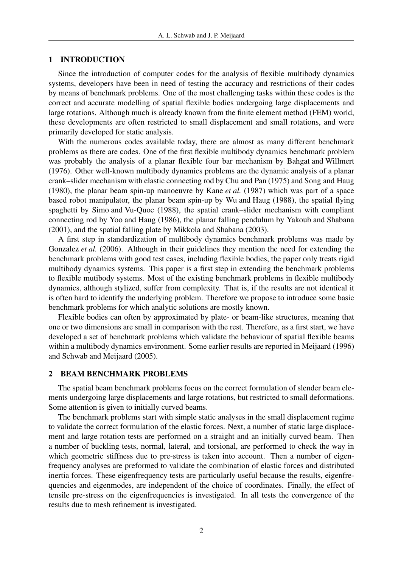## 1 INTRODUCTION

Since the introduction of computer codes for the analysis of flexible multibody dynamics systems, developers have been in need of testing the accuracy and restrictions of their codes by means of benchmark problems. One of the most challenging tasks within these codes is the correct and accurate modelling of spatial flexible bodies undergoing large displacements and large rotations. Although much is already known from the finite element method (FEM) world, these developments are often restricted to small displacement and small rotations, and were primarily developed for static analysis.

With the numerous codes available today, there are almost as many different benchmark problems as there are codes. One of the first flexible multibody dynamics benchmark problem was probably the analysis of a planar flexible four bar mechanism by Bahgat and Willmert (1976). Other well-known multibody dynamics problems are the dynamic analysis of a planar crank–slider mechanism with elastic connecting rod by Chu and Pan (1975) and Song and Haug (1980), the planar beam spin-up manoeuvre by Kane *et al.* (1987) which was part of a space based robot manipulator, the planar beam spin-up by Wu and Haug (1988), the spatial flying spaghetti by Simo and Vu-Quoc (1988), the spatial crank–slider mechanism with compliant connecting rod by Yoo and Haug (1986), the planar falling pendulum by Yakoub and Shabana (2001), and the spatial falling plate by Mikkola and Shabana (2003).

A first step in standardization of multibody dynamics benchmark problems was made by Gonzalez *et al.* (2006). Although in their guidelines they mention the need for extending the benchmark problems with good test cases, including flexible bodies, the paper only treats rigid multibody dynamics systems. This paper is a first step in extending the benchmark problems to flexible mutibody systems. Most of the existing benchmark problems in flexible multibody dynamics, although stylized, suffer from complexity. That is, if the results are not identical it is often hard to identify the underlying problem. Therefore we propose to introduce some basic benchmark problems for which analytic solutions are mostly known.

Flexible bodies can often by approximated by plate- or beam-like structures, meaning that one or two dimensions are small in comparison with the rest. Therefore, as a first start, we have developed a set of benchmark problems which validate the behaviour of spatial flexible beams within a multibody dynamics environment. Some earlier results are reported in Meijaard (1996) and Schwab and Meijaard (2005).

# 2 BEAM BENCHMARK PROBLEMS

The spatial beam benchmark problems focus on the correct formulation of slender beam elements undergoing large displacements and large rotations, but restricted to small deformations. Some attention is given to initially curved beams.

The benchmark problems start with simple static analyses in the small displacement regime to validate the correct formulation of the elastic forces. Next, a number of static large displacement and large rotation tests are performed on a straight and an initially curved beam. Then a number of buckling tests, normal, lateral, and torsional, are performed to check the way in which geometric stiffness due to pre-stress is taken into account. Then a number of eigenfrequency analyses are preformed to validate the combination of elastic forces and distributed inertia forces. These eigenfrequency tests are particularly useful because the results, eigenfrequencies and eigenmodes, are independent of the choice of coordinates. Finally, the effect of tensile pre-stress on the eigenfrequencies is investigated. In all tests the convergence of the results due to mesh refinement is investigated.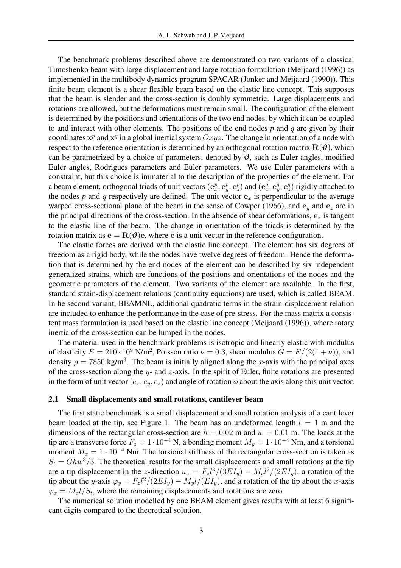The benchmark problems described above are demonstrated on two variants of a classical Timoshenko beam with large displacement and large rotation formulation (Meijaard (1996)) as implemented in the multibody dynamics program SPACAR (Jonker and Meijaard (1990)). This finite beam element is a shear flexible beam based on the elastic line concept. This supposes that the beam is slender and the cross-section is doubly symmetric. Large displacements and rotations are allowed, but the deformations must remain small. The configuration of the element is determined by the positions and orientations of the two end nodes, by which it can be coupled to and interact with other elements. The positions of the end nodes *p* and *q* are given by their coordinates  $x^p$  and  $x^q$  in a global inertial system  $Oxyz$ . The change in orientation of a node with respect to the reference orientation is determined by an orthogonal rotation matrix  $\mathbf{R}(\boldsymbol{\theta})$ , which can be parametrized by a choice of parameters, denoted by  $\vartheta$ , such as Euler angles, modified Euler angles, Rodrigues parameters and Euler parameters. We use Euler parameters with a constraint, but this choice is immaterial to the description of the properties of the element. For a beam element, orthogonal triads of unit vectors  $(e_x^p, e_y^p, e_z^p)$  and  $(e_x^q, e_y^q, e_z^q)$  rigidly attached to the nodes  $p$  and  $q$  respectively are defined. The unit vector  $e_x$  is perpendicular to the average warped cross-sectional plane of the beam in the sense of Cowper (1966), and  $e_y$  and  $e_z$  are in the principal directions of the cross-section. In the absence of shear deformations,  $e_x$  is tangent to the elastic line of the beam. The change in orientation of the triads is determined by the rotation matrix as  $e = R(\theta)\bar{e}$ , where  $\bar{e}$  is a unit vector in the reference configuration.

The elastic forces are derived with the elastic line concept. The element has six degrees of freedom as a rigid body, while the nodes have twelve degrees of freedom. Hence the deformation that is determined by the end nodes of the element can be described by six independent generalized strains, which are functions of the positions and orientations of the nodes and the geometric parameters of the element. Two variants of the element are available. In the first, standard strain-displacement relations (continuity equations) are used, which is called BEAM. In he second variant, BEAMNL, additional quadratic terms in the strain-displacement relation are included to enhance the performance in the case of pre-stress. For the mass matrix a consistent mass formulation is used based on the elastic line concept (Meijaard (1996)), where rotary inertia of the cross-section can be lumped in the nodes.

The material used in the benchmark problems is isotropic and linearly elastic with modulus of elasticity  $E = 210 \cdot 10^9$  N/m<sup>2</sup>, Poisson ratio  $\nu = 0.3$ , shear modulus  $G = E/(2(1+\nu))$ , and density  $\rho = 7850 \text{ kg/m}^3$ . The beam is initially aligned along the x-axis with the principal axes of the cross-section along the y- and z-axis. In the spirit of Euler, finite rotations are presented in the form of unit vector  $(e_x, e_y, e_z)$  and angle of rotation  $\phi$  about the axis along this unit vector.

#### 2.1 Small displacements and small rotations, cantilever beam

The first static benchmark is a small displacement and small rotation analysis of a cantilever beam loaded at the tip, see Figure 1. The beam has an undeformed length  $l = 1$  m and the dimensions of the rectangular cross-section are  $h = 0.02$  m and  $w = 0.01$  m. The loads at the tip are a transverse force  $F_z = 1 \cdot 10^{-4}$  N, a bending moment  $M_y = 1 \cdot 10^{-4}$  Nm, and a torsional moment  $M_x = 1 \cdot 10^{-4}$  Nm. The torsional stiffness of the rectangular cross-section is taken as  $S_t = Ghw^3/3$ . The theoretical results for the small displacements and small rotations at the tip are a tip displacement in the z-direction  $u_z = F_z l^3 / (3EI_y) - M_y l^2 / (2EI_y)$ , a rotation of the tip about the y-axis  $\varphi_y = F_z l^2 / (2EI_y) - M_y l / (EI_y)$ , and a rotation of the tip about the x-axis  $\varphi_x = M_x l / S_t$ , where the remaining displacements and rotations are zero.

The numerical solution modelled by one BEAM element gives results with at least 6 significant digits compared to the theoretical solution.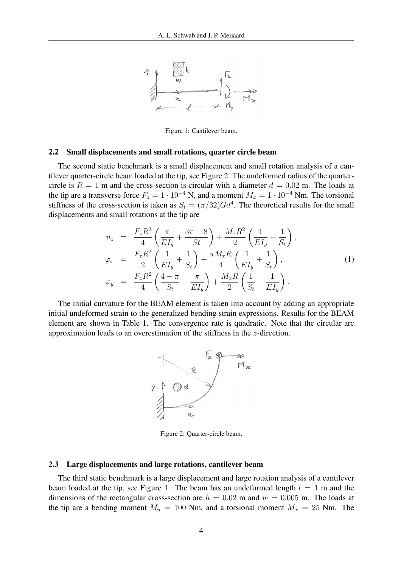

Figure 1: Cantilever beam.

## 2.2 Small displacements and small rotations, quarter circle beam

The second static benchmark is a small displacement and small rotation analysis of a cantilever quarter-circle beam loaded at the tip, see Figure 2. The undeformed radius of the quartercircle is  $R = 1$  m and the cross-section is circular with a diameter  $d = 0.02$  m. The loads at the tip are a transverse force  $F_z = 1 \cdot 10^{-4}$  N, and a moment  $M_x = 1 \cdot 10^{-4}$  Nm. The torsional stiffness of the cross-section is taken as  $S_t = (\pi/32)Gd^4$ . The theoretical results for the small displacements and small rotations at the tip are

$$
u_{z} = \frac{F_{z}R^{3}}{4} \left( \frac{\pi}{EI_{y}} + \frac{3\pi - 8}{St} \right) + \frac{M_{x}R^{2}}{2} \left( \frac{1}{EI_{y}} + \frac{1}{S_{t}} \right),
$$
  
\n
$$
\varphi_{x} = \frac{F_{z}R^{2}}{2} \left( \frac{1}{EI_{y}} + \frac{1}{S_{t}} \right) + \frac{\pi M_{x}R}{4} \left( \frac{1}{EI_{y}} + \frac{1}{S_{t}} \right),
$$
  
\n
$$
\varphi_{y} = \frac{F_{z}R^{2}}{4} \left( \frac{4 - \pi}{S_{t}} - \frac{\pi}{EI_{y}} \right) + \frac{M_{x}R}{2} \left( \frac{1}{S_{t}} - \frac{1}{EI_{y}} \right).
$$
\n(1)

The initial curvature for the BEAM element is taken into account by adding an appropriate initial undeformed strain to the generalized bending strain expressions. Results for the BEAM element are shown in Table 1. The convergence rate is quadratic. Note that the circular arc approximation leads to an overestimation of the stiffness in the z-direction.



Figure 2: Quarter-circle beam.

#### 2.3 Large displacements and large rotations, cantilever beam

The third static benchmark is a large displacement and large rotation analysis of a cantilever beam loaded at the tip, see Figure 1. The beam has an undeformed length  $l = 1$  m and the dimensions of the rectangular cross-section are  $h = 0.02$  m and  $w = 0.005$  m. The loads at the tip are a bending moment  $M_y = 100$  Nm, and a torsional moment  $M_x = 25$  Nm. The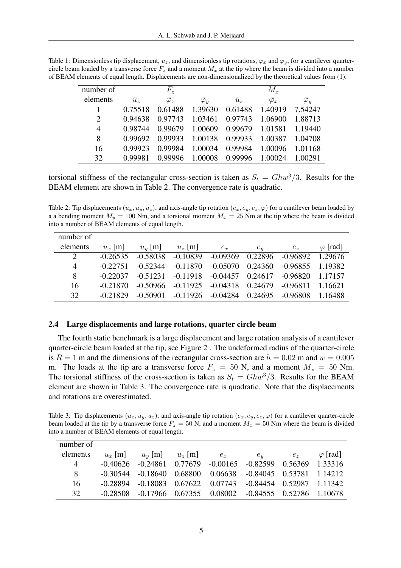| number of |             | $F_{\tilde{z}}$   |                   |             | $M_x$             |                   |
|-----------|-------------|-------------------|-------------------|-------------|-------------------|-------------------|
| elements  | $\bar{u}_z$ | $\bar{\varphi}_x$ | $\bar{\varphi}_u$ | $\bar{u}_z$ | $\bar{\varphi}_x$ | $\bar{\varphi}_y$ |
|           | 0.75518     | 0.61488           | 1.39630           | 0.61488     | 1.40919           | 7.54247           |
| 2         | 0.94638     | 0.97743           | 1.03461           | 0.97743     | 1.06900           | 1.88713           |
| 4         | 0.98744     | 0.99679           | 1.00609           | 0.99679     | 1.01581           | 1.19440           |
| 8         | 0.99692     | 0.99933           | 1.00138           | 0.99933     | 1.00387           | 1.04708           |
| 16        | 0.99923     | 0.99984           | 1.00034           | 0.99984     | 1.00096           | 1.01168           |
| 32        |             | 0.99996           | 1.00008           | 0.99996     | 00024             | 1.00291           |

Table 1: Dimensionless tip displacement,  $\bar{u}_z$ , and dimensionless tip rotations,  $\bar{\varphi}_x$  and  $\bar{\varphi}_y$ , for a cantilever quartercircle beam loaded by a transverse force  $F_z$  and a moment  $M_x$  at the tip where the beam is divided into a number of BEAM elements of equal length. Displacements are non-dimensionalized by the theoretical values from (1).

torsional stiffness of the rectangular cross-section is taken as  $S_t = Ghw^3/3$ . Results for the BEAM element are shown in Table 2. The convergence rate is quadratic.

Table 2: Tip displacements  $(u_x, u_y, u_z)$ , and axis-angle tip rotation  $(e_x, e_y, e_z, \varphi)$  for a cantilever beam loaded by a a bending moment  $M_y = 100$  Nm, and a torsional moment  $M_x = 25$  Nm at the tip where the beam is divided into a number of BEAM elements of equal length.

| number of                   |            |            |            |                       |         |            |                 |
|-----------------------------|------------|------------|------------|-----------------------|---------|------------|-----------------|
| elements                    | $u_x$ [m]  | $u_y$ [m]  | $u_z$ [m]  | $e_x$                 | $e_y$   | $e_z$      | $\varphi$ [rad] |
| $\mathcal{D}_{\mathcal{L}}$ | $-0.26535$ | $-0.58038$ | $-0.10839$ | $-0.09369$            | 0.22896 | -0.96892   | 1.29676         |
| $\overline{4}$              | $-0.22751$ | $-0.52344$ | $-0.11870$ | $-0.05070$            | 0.24360 | $-0.96855$ | 1.19382         |
| 8                           | $-0.22037$ | $-0.51231$ | $-0.11918$ | $-0.04457$ 0.24617    |         | $-0.96820$ | 1.17157         |
| 16                          | $-0.21870$ | $-0.50966$ | $-0.11925$ | $-0.04318$            | 0.24679 | $-0.96811$ | 1.16621         |
| 32                          | $-0.21829$ | $-0.50901$ |            | $-0.11926$ $-0.04284$ | 0.24695 | $-0.96808$ | -1.16488        |

#### 2.4 Large displacements and large rotations, quarter circle beam

The fourth static benchmark is a large displacement and large rotation analysis of a cantilever quarter-circle beam loaded at the tip, see Figure 2 . The undeformed radius of the quarter-circle is  $R = 1$  m and the dimensions of the rectangular cross-section are  $h = 0.02$  m and  $w = 0.005$ m. The loads at the tip are a transverse force  $F_z = 50$  N, and a moment  $M_x = 50$  Nm. The torsional stiffness of the cross-section is taken as  $S_t = Ghw^3/3$ . Results for the BEAM element are shown in Table 3. The convergence rate is quadratic. Note that the displacements and rotations are overestimated.

Table 3: Tip displacements  $(u_x, u_y, u_z)$ , and axis-angle tip rotation  $(e_x, e_y, e_z, \varphi)$  for a cantilever quarter-circle beam loaded at the tip by a transverse force  $F_z = 50$  N, and a moment  $M_x = 50$  Nm where the beam is divided into a number of BEAM elements of equal length.

| number of      |           |                           |  |                                                                           |       |                 |
|----------------|-----------|---------------------------|--|---------------------------------------------------------------------------|-------|-----------------|
| elements       | $u_x$ [m] | $u_y$ [m] $u_z$ [m] $e_x$ |  | $e_u$                                                                     | $e_z$ | $\varphi$ [rad] |
| $\overline{4}$ |           |                           |  | $-0.40626$ $-0.24861$ $0.77679$ $-0.00165$ $-0.82599$ $0.56369$ $1.33316$ |       |                 |
| 8              |           |                           |  | $-0.30544$ $-0.18640$ $0.68800$ $0.06638$ $-0.84045$ $0.53781$ $1.14212$  |       |                 |
| 16             |           |                           |  | $-0.28894$ $-0.18083$ $0.67622$ $0.07743$ $-0.84454$ $0.52987$ $1.11342$  |       |                 |
| 32             |           |                           |  | $-0.28508$ $-0.17966$ $0.67355$ $0.08002$ $-0.84555$ $0.52786$ 1.10678    |       |                 |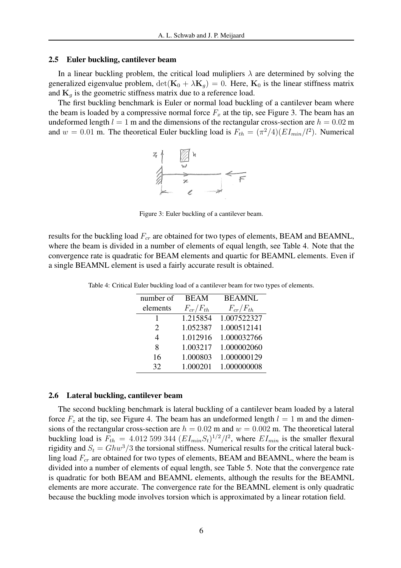#### 2.5 Euler buckling, cantilever beam

In a linear buckling problem, the critical load mulipliers  $\lambda$  are determined by solving the generalized eigenvalue problem,  $\det(\mathbf{K}_0 + \lambda \mathbf{K}_g) = 0$ . Here,  $\mathbf{K}_0$  is the linear stiffness matrix and  $K_q$  is the geometric stiffness matrix due to a reference load.

The first buckling benchmark is Euler or normal load buckling of a cantilever beam where the beam is loaded by a compressive normal force  $F_x$  at the tip, see Figure 3. The beam has an undeformed length  $l = 1$  m and the dimensions of the rectangular cross-section are  $h = 0.02$  m and  $w = 0.01$  m. The theoretical Euler buckling load is  $F_{th} = (\pi^2/4)(EI_{min}/l^2)$ . Numerical



Figure 3: Euler buckling of a cantilever beam.

results for the buckling load  $F_{cr}$  are obtained for two types of elements, BEAM and BEAMNL, where the beam is divided in a number of elements of equal length, see Table 4. Note that the convergence rate is quadratic for BEAM elements and quartic for BEAMNL elements. Even if a single BEAMNL element is used a fairly accurate result is obtained.

| number of             | <b>BEAM</b>     | <b>BEAMNL</b>   |
|-----------------------|-----------------|-----------------|
| elements              | $F_{cr}/F_{th}$ | $F_{cr}/F_{th}$ |
|                       | 1.215854        | 1.007522327     |
| $\mathcal{D}_{\cdot}$ | 1.052387        | 1.000512141     |
| 4                     | 1.012916        | 1.000032766     |
| 8                     | 1.003217        | 1.000002060     |
| 16                    | 1.000803        | 1.000000129     |
| 32                    | 1.000201        | 1.000000008     |

Table 4: Critical Euler buckling load of a cantilever beam for two types of elements.

#### 2.6 Lateral buckling, cantilever beam

The second buckling benchmark is lateral buckling of a cantilever beam loaded by a lateral force  $F_z$  at the tip, see Figure 4. The beam has an undeformed length  $l = 1$  m and the dimensions of the rectangular cross-section are  $h = 0.02$  m and  $w = 0.002$  m. The theoretical lateral buckling load is  $F_{th} = 4.012599344 (EI_{min}S_t)^{1/2}/l^2$ , where  $EI_{min}$  is the smaller flexural rigidity and  $S_t = Ghw^3/3$  the torsional stiffness. Numerical results for the critical lateral buckling load  $F_{cr}$  are obtained for two types of elements, BEAM and BEAMNL, where the beam is divided into a number of elements of equal length, see Table 5. Note that the convergence rate is quadratic for both BEAM and BEAMNL elements, although the results for the BEAMNL elements are more accurate. The convergence rate for the BEAMNL element is only quadratic because the buckling mode involves torsion which is approximated by a linear rotation field.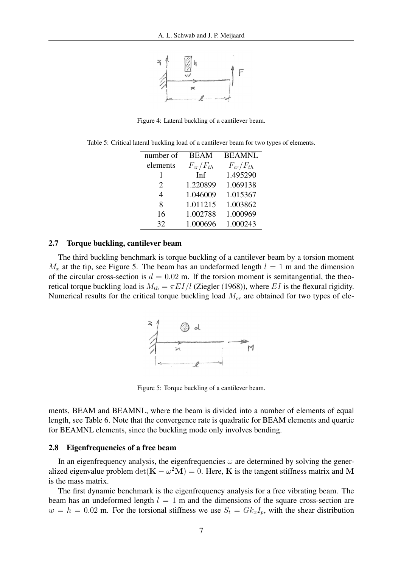

Figure 4: Lateral buckling of a cantilever beam.

| number of             | <b>BEAM</b>     | <b>BEAMNL</b>   |
|-----------------------|-----------------|-----------------|
| elements              | $F_{cr}/F_{th}$ | $F_{cr}/F_{th}$ |
|                       | Inf             | 1.495290        |
| $\mathcal{D}_{\cdot}$ | 1.220899        | 1.069138        |
| 4                     | 1.046009        | 1.015367        |
| 8                     | 1.011215        | 1.003862        |
| 16                    | 1.002788        | 1.000969        |
| 32                    | 1.000696        | 1.000243        |

Table 5: Critical lateral buckling load of a cantilever beam for two types of elements.

## 2.7 Torque buckling, cantilever beam

The third buckling benchmark is torque buckling of a cantilever beam by a torsion moment  $M_x$  at the tip, see Figure 5. The beam has an undeformed length  $l = 1$  m and the dimension of the circular cross-section is  $d = 0.02$  m. If the torsion moment is semitangential, the theoretical torque buckling load is  $M_{th} = \pi E I / l$  (Ziegler (1968)), where EI is the flexural rigidity. Numerical results for the critical torque buckling load  $M_{cr}$  are obtained for two types of ele-



Figure 5: Torque buckling of a cantilever beam.

ments, BEAM and BEAMNL, where the beam is divided into a number of elements of equal length, see Table 6. Note that the convergence rate is quadratic for BEAM elements and quartic for BEAMNL elements, since the buckling mode only involves bending.

#### 2.8 Eigenfrequencies of a free beam

In an eigenfrequency analysis, the eigenfrequencies  $\omega$  are determined by solving the generalized eigenvalue problem  $\det(\mathbf{K} - \omega^2 \mathbf{M}) = 0$ . Here, K is the tangent stiffness matrix and M is the mass matrix.

The first dynamic benchmark is the eigenfrequency analysis for a free vibrating beam. The beam has an undeformed length  $l = 1$  m and the dimensions of the square cross-section are  $w = h = 0.02$  m. For the torsional stiffness we use  $S_t = G k_x I_p$ , with the shear distribution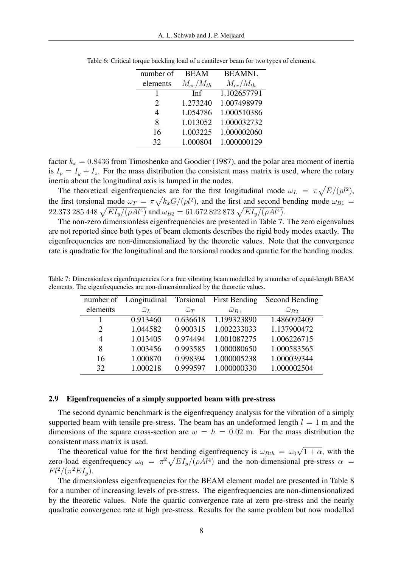| number of             | <b>BEAM</b>     | <b>BEAMNL</b>   |
|-----------------------|-----------------|-----------------|
| elements              | $M_{cr}/M_{th}$ | $M_{cr}/M_{th}$ |
|                       | <b>Inf</b>      | 1.102657791     |
| $\mathcal{D}_{\cdot}$ | 1.273240        | 1.007498979     |
| 4                     | 1.054786        | 1.000510386     |
| 8                     | 1.013052        | 1.000032732     |
| 16                    | 1.003225        | 1.000002060     |
| 32                    | 1.000804        | 1.000000129     |

Table 6: Critical torque buckling load of a cantilever beam for two types of elements.

factor  $k_x = 0.8436$  from Timoshenko and Goodier (1987), and the polar area moment of inertia is  $I_p = I_y + I_z$ . For the mass distribution the consistent mass matrix is used, where the rotary inertia about the longitudinal axis is lumped in the nodes.  $\overline{p}$ 

The theoretical eigenfrequencies are for the first longitudinal mode  $\omega_L = \pi$ cies are for the first longitudinal mode  $\omega_L = \pi \sqrt{E/(\rho l^2)}$ , the first torsional mode  $\omega_T = \pi \sqrt{k_x G/(\rho l^2)}$ , and the first and second bending mode  $\omega_{B1} =$ the first torsional mode  $\omega_T = \pi \sqrt{\kappa_x} G / (\rho_t - \rho_t)$ , and the first and second to  $22.373\ 285\ 448\ \sqrt{EI_y/(\rho A)^4}$  and  $\omega_{B2} = 61.672\ 822\ 873\ \sqrt{EI_y/(\rho A)^4}$ .

The non-zero dimensionless eigenfrequencies are presented in Table 7. The zero eigenvalues are not reported since both types of beam elements describes the rigid body modes exactly. The eigenfrequencies are non-dimensionalized by the theoretic values. Note that the convergence rate is quadratic for the longitudinal and the torsional modes and quartic for the bending modes.

|                | number of Longitudinal Torsional First Bending |                  |                          | Second Bending      |
|----------------|------------------------------------------------|------------------|--------------------------|---------------------|
| elements       | $\bar{\omega}_L$                               | $\bar{\omega}_T$ | $\overline{\omega}_{B1}$ | $\bar{\omega}_{B2}$ |
|                | 0.913460                                       | 0.636618         | 1.199323890              | 1.486092409         |
| 2              | 1.044582                                       | 0.900315         | 1.002233033              | 1.137900472         |
| $\overline{4}$ | 1.013405                                       | 0.974494         | 1.001087275              | 1.006226715         |
| 8              | 1.003456                                       | 0.993585         | 1.000080650              | 1.000583565         |
| 16             | 1.000870                                       | 0.998394         | 1.000005238              | 1.000039344         |
| 32             | 1.000218                                       | 0.999597         | 1.000000330              | 1.000002504         |

Table 7: Dimensionless eigenfrequencies for a free vibrating beam modelled by a number of equal-length BEAM elements. The eigenfrequencies are non-dimensionalized by the theoretic values.

#### 2.9 Eigenfrequencies of a simply supported beam with pre-stress

The second dynamic benchmark is the eigenfrequency analysis for the vibration of a simply supported beam with tensile pre-stress. The beam has an undeformed length  $l = 1$  m and the dimensions of the square cross-section are  $w = h = 0.02$  m. For the mass distribution the consistent mass matrix is used. √

The theoretical value for the first bending eigenfrequency is  $\omega_{Bth} = \omega_0$  $\overline{1+\alpha}$ , with the The theoretical value for the first bending eigenfrequency is  $\omega_{Bth} = \omega_0 \sqrt{1 + \alpha}$ , with the zero-load eigenfrequency  $\omega_0 = \pi^2 \sqrt{EI_y/(\rho A l^4)}$  and the non-dimensional pre-stress  $\alpha =$  $Fl^2/(\pi^2 EI_y).$ 

The dimensionless eigenfrequencies for the BEAM element model are presented in Table 8 for a number of increasing levels of pre-stress. The eigenfrequencies are non-dimensionalized by the theoretic values. Note the quartic convergence rate at zero pre-stress and the nearly quadratic convergence rate at high pre-stress. Results for the same problem but now modelled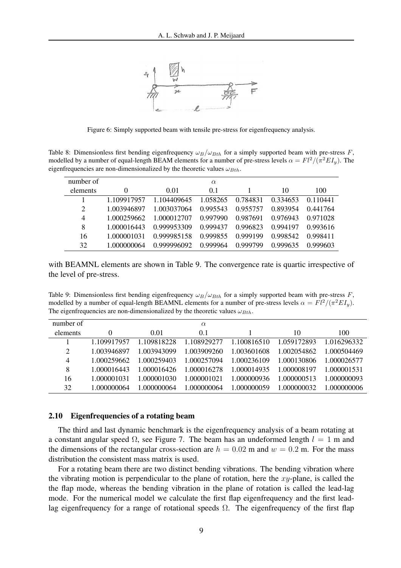

Figure 6: Simply supported beam with tensile pre-stress for eigenfrequency analysis.

Table 8: Dimensionless first bending eigenfrequency  $\omega_B/\omega_{Bth}$  for a simply supported beam with pre-stress F, modelled by a number of equal-length BEAM elements for a number of pre-stress levels  $\alpha = Fl^2/(\pi^2 EI_y)$ . The eigenfrequencies are non-dimensionalized by the theoretic values  $\omega_{Bth}$ .

| number of      |             |             | $\alpha$ |          |          |          |
|----------------|-------------|-------------|----------|----------|----------|----------|
| elements       | $\theta$    | 0.01        | 0.1      |          | 10       | 100      |
|                | 1.109917957 | 1.104409645 | 1.058265 | 0.784831 | 0.334653 | 0.110441 |
| $\overline{2}$ | 1.003946897 | 1.003037064 | 0.995543 | 0.955757 | 0.893954 | 0.441764 |
| $\overline{4}$ | 1.000259662 | 1.000012707 | 0.997990 | 0.987691 | 0.976943 | 0.971028 |
| 8              | 1.000016443 | 0.999953309 | 0.999437 | 0.996823 | 0.994197 | 0.993616 |
| 16             | 1.000001031 | 0.999985158 | 0.999855 | 0.999199 | 0.998542 | 0.998411 |
| 32             | 1.000000064 | 0.999996092 | 0.999964 | 0.999799 | 0.999635 | 0.999603 |

with BEAMNL elements are shown in Table 9. The convergence rate is quartic irrespective of the level of pre-stress.

Table 9: Dimensionless first bending eigenfrequency  $\omega_B/\omega_{Bth}$  for a simply supported beam with pre-stress F, modelled by a number of equal-length BEAMNL elements for a number of pre-stress levels  $\alpha = Fl^2/(\pi^2 EI_y)$ . The eigenfrequencies are non-dimensionalized by the theoretic values  $\omega_{Bth}$ .

| number of      |             |             | $\alpha$    |             |             |             |
|----------------|-------------|-------------|-------------|-------------|-------------|-------------|
| elements       | 0           | 0.01        | 0.1         |             | 10          | 100         |
|                | 1 109917957 | 1.109818228 | 1.108929277 | 1.100816510 | 1.059172893 | 1 016296332 |
| $\overline{2}$ | 1.003946897 | 1.003943099 | 1.003909260 | 1.003601608 | 1.002054862 | 1.000504469 |
| 4              | 1.000259662 | 1.000259403 | 1.000257094 | 1.000236109 | 1.000130806 | 1.000026577 |
| 8              | 1.000016443 | 1.000016426 | 1 000016278 | 1.000014935 | 1 000008197 | 1 000001531 |
| 16             | 1 000001031 | 1.000001030 | .000001021  | 1.000000936 | .000000513  | 1 000000093 |
| 32             | 1 000000064 | 1 000000064 | .000000064  | 1 000000059 | 1 000000032 | 1 000000006 |

## 2.10 Eigenfrequencies of a rotating beam

The third and last dynamic benchmark is the eigenfrequency analysis of a beam rotating at a constant angular speed  $\Omega$ , see Figure 7. The beam has an undeformed length  $l = 1$  m and the dimensions of the rectangular cross-section are  $h = 0.02$  m and  $w = 0.2$  m. For the mass distribution the consistent mass matrix is used.

For a rotating beam there are two distinct bending vibrations. The bending vibration where the vibrating motion is perpendicular to the plane of rotation, here the  $xy$ -plane, is called the the flap mode, whereas the bending vibration in the plane of rotation is called the lead-lag mode. For the numerical model we calculate the first flap eigenfrequency and the first leadlag eigenfrequency for a range of rotational speeds  $\Omega$ . The eigenfrequency of the first flap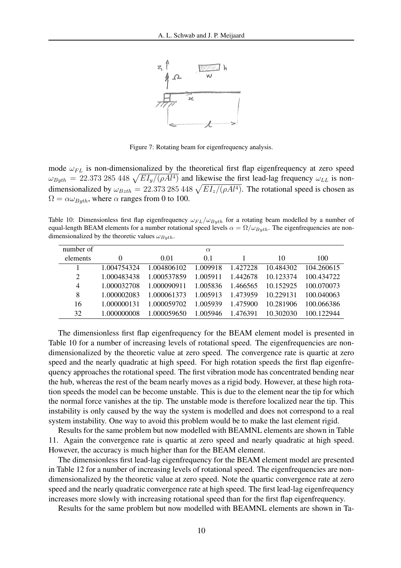

Figure 7: Rotating beam for eigenfrequency analysis.

mode  $\omega_{FL}$  is non-dimensionalized by the theoretical first flap eigenfrequency at zero speed mode  $\omega_{FL}$  is non-dimensionalized by the theoretical first hap eigenfrequency at zero speed  $\omega_{Byth} = 22.373285448 \sqrt{EI_y/(\rho A l^4)}$  and likewise the first lead-lag frequency  $\omega_{LL}$  is non- $\omega_{Byth} = 22.373 283 448 \sqrt{E I_y / (\rho A t^2)}$  and incewise the first lead-lag riequency  $\omega_{LL}$  is non-<br>dimensionalized by  $\omega_{Bzth} = 22.373 285 448 \sqrt{E I_z / (\rho A t^4)}$ . The rotational speed is chosen as  $\Omega = \alpha \omega_{Buth}$ , where  $\alpha$  ranges from 0 to 100.

Table 10: Dimensionless first flap eigenfrequency  $\omega_{FL}/\omega_{Byth}$  for a rotating beam modelled by a number of equal-length BEAM elements for a number rotational speed levels  $\alpha = \Omega/\omega_{Bwh}$ . The eigenfrequencies are nondimensionalized by the theoretic values  $\omega_{Byth}$ .

| number of      |             |             | $\alpha$ |          |           |            |
|----------------|-------------|-------------|----------|----------|-----------|------------|
| elements       | $\theta$    | 0.01        | 0.1      |          | 10        | 100        |
|                | 1.004754324 | 1.004806102 | 1.009918 | 1.427228 | 10.484302 | 104.260615 |
| 2              | 1.000483438 | 1.000537859 | 1.005911 | 1.442678 | 10.123374 | 100.434722 |
| $\overline{4}$ | 1.000032708 | 1.000090911 | 1.005836 | 1.466565 | 10.152925 | 100.070073 |
| 8              | 1.000002083 | 1.000061373 | 1.005913 | 1.473959 | 10.229131 | 100.040063 |
| 16             | 1.000000131 | 1.000059702 | 1.005939 | 1.475900 | 10.281906 | 100.066386 |
| 32             | 1.000000008 | 1.000059650 | 1.005946 | 1.476391 | 10.302030 | 100.122944 |

The dimensionless first flap eigenfrequency for the BEAM element model is presented in Table 10 for a number of increasing levels of rotational speed. The eigenfrequencies are nondimensionalized by the theoretic value at zero speed. The convergence rate is quartic at zero speed and the nearly quadratic at high speed. For high rotation speeds the first flap eigenfrequency approaches the rotational speed. The first vibration mode has concentrated bending near the hub, whereas the rest of the beam nearly moves as a rigid body. However, at these high rotation speeds the model can be become unstable. This is due to the element near the tip for which the normal force vanishes at the tip. The unstable mode is therefore localized near the tip. This instability is only caused by the way the system is modelled and does not correspond to a real system instability. One way to avoid this problem would be to make the last element rigid.

Results for the same problem but now modelled with BEAMNL elements are shown in Table 11. Again the convergence rate is quartic at zero speed and nearly quadratic at high speed. However, the accuracy is much higher than for the BEAM element.

The dimensionless first lead-lag eigenfrequency for the BEAM element model are presented in Table 12 for a number of increasing levels of rotational speed. The eigenfrequencies are nondimensionalized by the theoretic value at zero speed. Note the quartic convergence rate at zero speed and the nearly quadratic convergence rate at high speed. The first lead-lag eigenfrequency increases more slowly with increasing rotational speed than for the first flap eigenfrequency.

Results for the same problem but now modelled with BEAMNL elements are shown in Ta-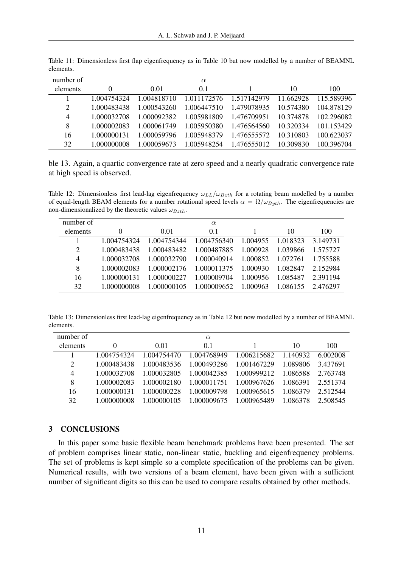| number of      |             |             | $\alpha$    |             |           |            |
|----------------|-------------|-------------|-------------|-------------|-----------|------------|
| elements       |             | 0.01        | 0.1         |             | 10        | 100        |
|                | 1.004754324 | 1.004818710 | 1.011172576 | 1.517142979 | 11.662928 | 115.589396 |
| 2              | 1.000483438 | 1.000543260 | 1.006447510 | 1.479078935 | 10.574380 | 104.878129 |
| $\overline{4}$ | 1.000032708 | 1.000092382 | 1.005981809 | 1.476709951 | 10.374878 | 102.296082 |
| 8              | 1.000002083 | 1.000061749 | 1.005950380 | 1.476564560 | 10.320334 | 101.153429 |
| 16             | 1.000000131 | 1.000059796 | 1.005948379 | 1.476555572 | 10.310803 | 100.623037 |
| 32             | 1.000000008 | 1.000059673 | 1.005948254 | 1.476555012 | 10.309830 | 100.396704 |

Table 11: Dimensionless first flap eigenfrequency as in Table 10 but now modelled by a number of BEAMNL elements.

ble 13. Again, a quartic convergence rate at zero speed and a nearly quadratic convergence rate at high speed is observed.

Table 12: Dimensionless first lead-lag eigenfrequency  $\omega_{LL}/\omega_{Bzth}$  for a rotating beam modelled by a number of equal-length BEAM elements for a number rotational speed levels  $\alpha = \Omega/\omega_{Buth}$ . The eigenfrequencies are non-dimensionalized by the theoretic values  $\omega_{Bzth}$ .

| number of |             |             | $\alpha$    |          |          |          |
|-----------|-------------|-------------|-------------|----------|----------|----------|
| elements  | $\theta$    | 0.01        | 0.1         |          | 10       | 100      |
|           | 1.004754324 | 1.004754344 | 1.004756340 | 1.004955 | 1.018323 | 3.149731 |
| 2         | 1.000483438 | 1.000483482 | 1.000487885 | 1.000928 | 1.039866 | 1.575727 |
| 4         | 1.000032708 | 1.000032790 | 1.000040914 | 1.000852 | 1.072761 | 1.755588 |
| 8         | 1.000002083 | 1.000002176 | 1.000011375 | 1.000930 | 1.082847 | 2.152984 |
| 16        | 1.000000131 | 1.000000227 | 1.000009704 | 1.000956 | 1.085487 | 2.391194 |
| 32        | 1.000000008 | 1.000000105 | 1.000009652 | 1.000963 | 1.086155 | 2.476297 |

Table 13: Dimensionless first lead-lag eigenfrequency as in Table 12 but now modelled by a number of BEAMNL elements.

| number of      |             |             | $\alpha$    |             |          |          |
|----------------|-------------|-------------|-------------|-------------|----------|----------|
| elements       |             | 0.01        | 0.1         |             | 10       | 100      |
|                | 1.004754324 | 1.004754470 | 1.004768949 | 1.006215682 | 1.140932 | 6.002008 |
| 2              | 1.000483438 | 1.000483536 | 1.000493286 | 1.001467229 | 1.089806 | 3.437691 |
| $\overline{4}$ | 1.000032708 | 1.000032805 | 1.000042385 | 1.000999212 | 1.086588 | 2.763748 |
| 8              | 1.000002083 | 1.000002180 | 1.000011751 | 1.000967626 | 1.086391 | 2.551374 |
| 16             | 1.000000131 | 1.000000228 | 1.000009798 | 1.000965615 | 1.086379 | 2.512544 |
| 32             | 1.000000008 | 1.000000105 | 1.000009675 | 1.000965489 | 1.086378 | 2.508545 |

# 3 CONCLUSIONS

In this paper some basic flexible beam benchmark problems have been presented. The set of problem comprises linear static, non-linear static, buckling and eigenfrequency problems. The set of problems is kept simple so a complete specification of the problems can be given. Numerical results, with two versions of a beam element, have been given with a sufficient number of significant digits so this can be used to compare results obtained by other methods.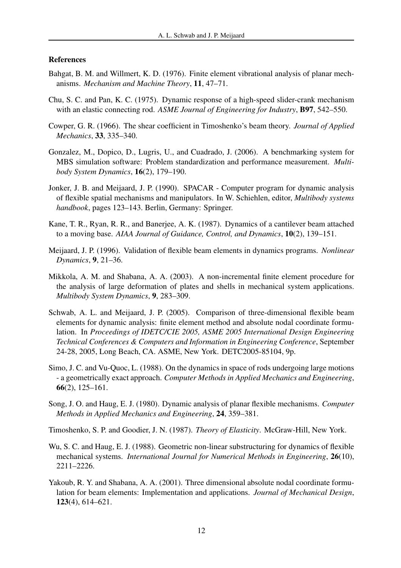# References

- Bahgat, B. M. and Willmert, K. D. (1976). Finite element vibrational analysis of planar mechanisms. *Mechanism and Machine Theory*, 11, 47–71.
- Chu, S. C. and Pan, K. C. (1975). Dynamic response of a high-speed slider-crank mechanism with an elastic connecting rod. *ASME Journal of Engineering for Industry*, B97, 542–550.
- Cowper, G. R. (1966). The shear coefficient in Timoshenko's beam theory. *Journal of Applied Mechanics*, 33, 335–340.
- Gonzalez, M., Dopico, D., Lugris, U., and Cuadrado, J. (2006). A benchmarking system for MBS simulation software: Problem standardization and performance measurement. *Multibody System Dynamics*, 16(2), 179–190.
- Jonker, J. B. and Meijaard, J. P. (1990). SPACAR Computer program for dynamic analysis of flexible spatial mechanisms and manipulators. In W. Schiehlen, editor, *Multibody systems handbook*, pages 123–143. Berlin, Germany: Springer.
- Kane, T. R., Ryan, R. R., and Banerjee, A. K. (1987). Dynamics of a cantilever beam attached to a moving base. *AIAA Journal of Guidance, Control, and Dynamics*, 10(2), 139–151.
- Meijaard, J. P. (1996). Validation of flexible beam elements in dynamics programs. *Nonlinear Dynamics*, 9, 21–36.
- Mikkola, A. M. and Shabana, A. A. (2003). A non-incremental finite element procedure for the analysis of large deformation of plates and shells in mechanical system applications. *Multibody System Dynamics*, 9, 283–309.
- Schwab, A. L. and Meijaard, J. P. (2005). Comparison of three-dimensional flexible beam elements for dynamic analysis: finite element method and absolute nodal coordinate formulation. In *Proceedings of IDETC/CIE 2005, ASME 2005 International Design Engineering Technical Conferences & Computers and Information in Engineering Conference*, September 24-28, 2005, Long Beach, CA. ASME, New York. DETC2005-85104, 9p.
- Simo, J. C. and Vu-Quoc, L. (1988). On the dynamics in space of rods undergoing large motions - a geometrically exact approach. *Computer Methods in Applied Mechanics and Engineering*, 66(2), 125–161.
- Song, J. O. and Haug, E. J. (1980). Dynamic analysis of planar flexible mechanisms. *Computer Methods in Applied Mechanics and Engineering*, 24, 359–381.

Timoshenko, S. P. and Goodier, J. N. (1987). *Theory of Elasticity*. McGraw-Hill, New York.

- Wu, S. C. and Haug, E. J. (1988). Geometric non-linear substructuring for dynamics of flexible mechanical systems. *International Journal for Numerical Methods in Engineering*, 26(10), 2211–2226.
- Yakoub, R. Y. and Shabana, A. A. (2001). Three dimensional absolute nodal coordinate formulation for beam elements: Implementation and applications. *Journal of Mechanical Design*, 123(4), 614–621.